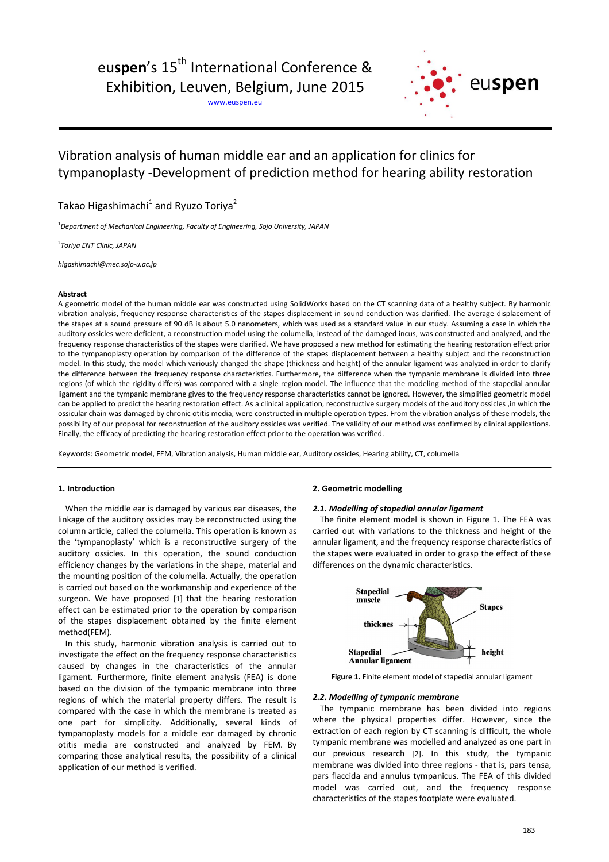# euspen's 15<sup>th</sup> International Conference & Exhibition, Leuven, Belgium, June 2015

www.euspen.eu



# Vibration analysis of human middle ear and an application for clinics for tympanoplasty -Development of prediction method for hearing ability restoration

Takao Higashimachi $^1$  and Ryuzo Toriya $^2$ 

<sup>1</sup>*Department of Mechanical Engineering, Faculty of Engineering, Sojo University, JAPAN*

2 *Toriya ENT Clinic, JAPAN*

*higashimachi@mec.sojo-u.ac.jp*

### **Abstract**

A geometric model of the human middle ear was constructed using SolidWorks based on the CT scanning data of a healthy subject. By harmonic vibration analysis, frequency response characteristics of the stapes displacement in sound conduction was clarified. The average displacement of the stapes at a sound pressure of 90 dB is about 5.0 nanometers, which was used as a standard value in our study. Assuming a case in which the auditory ossicles were deficient, a reconstruction model using the columella, instead of the damaged incus, was constructed and analyzed, and the frequency response characteristics of the stapes were clarified. We have proposed a new method for estimating the hearing restoration effect prior to the tympanoplasty operation by comparison of the difference of the stapes displacement between a healthy subject and the reconstruction model. In this study, the model which variously changed the shape (thickness and height) of the annular ligament was analyzed in order to clarify the difference between the frequency response characteristics. Furthermore, the difference when the tympanic membrane is divided into three regions (of which the rigidity differs) was compared with a single region model. The influence that the modeling method of the stapedial annular ligament and the tympanic membrane gives to the frequency response characteristics cannot be ignored. However, the simplified geometric model can be applied to predict the hearing restoration effect. As a clinical application, reconstructive surgery models of the auditory ossicles ,in which the ossicular chain was damaged by chronic otitis media, were constructed in multiple operation types. From the vibration analysis of these models, the possibility of our proposal for reconstruction of the auditory ossicles was verified. The validity of our method was confirmed by clinical applications. Finally, the efficacy of predicting the hearing restoration effect prior to the operation was verified.

Keywords: Geometric model, FEM, Vibration analysis, Human middle ear, Auditory ossicles, Hearing ability, CT, columella

# **1. Introduction**

When the middle ear is damaged by various ear diseases, the linkage of the auditory ossicles may be reconstructed using the column article, called the columella. This operation is known as the 'tympanoplasty' which is a reconstructive surgery of the auditory ossicles. In this operation, the sound conduction efficiency changes by the variations in the shape, material and the mounting position of the columella. Actually, the operation is carried out based on the workmanship and experience of the surgeon. We have proposed [1] that the hearing restoration effect can be estimated prior to the operation by comparison of the stapes displacement obtained by the finite element method(FEM).

In this study, harmonic vibration analysis is carried out to investigate the effect on the frequency response characteristics caused by changes in the characteristics of the annular ligament. Furthermore, finite element analysis (FEA) is done based on the division of the tympanic membrane into three regions of which the material property differs. The result is compared with the case in which the membrane is treated as one part for simplicity. Additionally, several kinds of tympanoplasty models for a middle ear damaged by chronic otitis media are constructed and analyzed by FEM. By comparing those analytical results, the possibility of a clinical application of our method is verified.

# **2. Geometric modelling**

# 2.1. Modelling of stapedial annular ligament

The finite element model is shown in Figure 1. The FEA was carried out with variations to the thickness and height of the annular ligament, and the frequency response characteristics of the stapes were evaluated in order to grasp the effect of these differences on the dynamic characteristics.



**Figure 1.** Finite element model of stapedial annular ligament

#### 2.2. Modelling of tympanic membrane

The tympanic membrane has been divided into regions where the physical properties differ. However, since the extraction of each region by CT scanning is difficult, the whole tympanic membrane was modelled and analyzed as one part in our previous research [2]. In this study, the tympanic membrane was divided into three regions - that is, pars tensa, pars flaccida and annulus tympanicus. The FEA of this divided model was carried out, and the frequency response characteristics of the stapes footplate were evaluated.